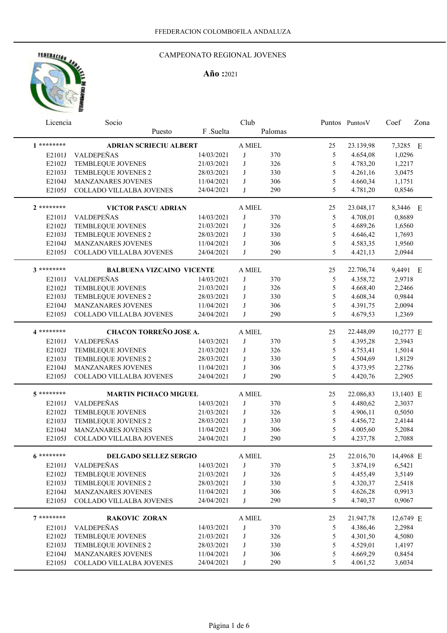

### CAMPEONATO REGIONAL JOVENES

|                  | Club<br>Licencia<br>Socio        |                          |         | Puntos Puntos V | Coef          | Zona      |           |  |
|------------------|----------------------------------|--------------------------|---------|-----------------|---------------|-----------|-----------|--|
|                  | Puesto                           | F.Suelta                 |         | Palomas         |               |           |           |  |
| $1*******$       | <b>ADRIAN SCRIECIU ALBERT</b>    |                          | A MIEL  |                 | 25            | 23.139,98 | 7,3285 E  |  |
| E2101J           | <b>VALDEPEÑAS</b>                | 14/03/2021               | J       | 370             | 5             | 4.654,08  | 1,0296    |  |
| E2102J           | TEMBLEQUE JOVENES                | 21/03/2021               | J       | 326             | 5             | 4.783,20  | 1,2217    |  |
| E2103J           | TEMBLEQUE JOVENES 2              | 28/03/2021               | J       | 330             | 5             | 4.261,16  | 3,0475    |  |
| E2104J           | MANZANARES JOVENES               | 11/04/2021               | J       | 306             | 5             | 4.660,34  | 1,1751    |  |
| E2105J           | COLLADO VILLALBA JOVENES         | 24/04/2021               | J       | 290             | 5             | 4.781,20  | 0,8546    |  |
| $2*******$       | VICTOR PASCU ADRIAN              |                          | A MIEL  |                 | 25            | 23.048,17 | 8,3446 E  |  |
| E2101J           | VALDEPEÑAS                       | 14/03/2021               | J       | 370             | 5             | 4.708,01  | 0,8689    |  |
| E2102J           | TEMBLEQUE JOVENES                | 21/03/2021               | $\bf J$ | 326             | 5             | 4.689,26  | 1,6560    |  |
| E2103J           | TEMBLEQUE JOVENES 2              | 28/03/2021               | J       | 330             | 5             | 4.646,42  | 1,7693    |  |
| E2104J           | MANZANARES JOVENES               | 11/04/2021               | J       | 306             | 5             | 4.583,35  | 1,9560    |  |
| E2105J           | COLLADO VILLALBA JOVENES         |                          | J       | 290             | 5             | 4.421,13  | 2,0944    |  |
|                  |                                  | 24/04/2021               |         |                 |               |           |           |  |
| 3 *********      | <b>BALBUENA VIZCAINO VICENTE</b> |                          | A MIEL  |                 | 25            | 22.706,74 | 9,4491 E  |  |
| E2101J           | VALDEPEÑAS                       | 14/03/2021               | J       | 370             | 5             | 4.358,72  | 2,9718    |  |
| E2102J           | TEMBLEQUE JOVENES                | 21/03/2021               | J       | 326             | 5             | 4.668,40  | 2,2466    |  |
| E2103J           | TEMBLEQUE JOVENES 2              | 28/03/2021               | J       | 330             | 5             | 4.608,34  | 0,9844    |  |
| E2104J           | MANZANARES JOVENES               | 11/04/2021               | J       | 306             | 5             | 4.391,75  | 2,0094    |  |
| E2105J           | COLLADO VILLALBA JOVENES         | 24/04/2021               | J       | 290             | 5             | 4.679,53  | 1,2369    |  |
| 4 *********      | CHACON TORREÑO JOSE A.           |                          | A MIEL  |                 | 25            | 22.448,09 | 10,2777 E |  |
| E2101J           | VALDEPEÑAS                       | 14/03/2021               | J       | 370             | 5             | 4.395,28  | 2,3943    |  |
| E2102J           | TEMBLEQUE JOVENES                | 21/03/2021               | J       | 326             | 5             | 4.753,41  | 1,5014    |  |
| E2103J           | TEMBLEQUE JOVENES 2              | 28/03/2021               | J       | 330             | 5             | 4.504,69  | 1,8129    |  |
| E2104J           | MANZANARES JOVENES               | 11/04/2021               | J       | 306             | 5             | 4.373,95  | 2,2786    |  |
| E2105J           | COLLADO VILLALBA JOVENES         | 24/04/2021               | J       | 290             | 5             | 4.420,76  | 2,2905    |  |
|                  |                                  |                          |         |                 |               |           |           |  |
| 5 *********      | <b>MARTIN PICHACO MIGUEL</b>     |                          | A MIEL  |                 | 25            | 22.086,83 | 13,1403 E |  |
| E2101J           | VALDEPEÑAS                       | 14/03/2021               | J       | 370             | 5             | 4.480,62  | 2,3037    |  |
| E2102J           | TEMBLEQUE JOVENES                | 21/03/2021               | J       | 326             | 5             | 4.906,11  | 0,5050    |  |
| E2103J           | TEMBLEQUE JOVENES 2              | 28/03/2021               | J       | 330             | 5             | 4.456,72  | 2,4144    |  |
| E2104J           | MANZANARES JOVENES               | 11/04/2021               | J       | 306             | 5             | 4.005,60  | 5,2084    |  |
| E2105J           | COLLADO VILLALBA JOVENES         | 24/04/2021               | J       | 290             | 5             | 4.237,78  | 2,7088    |  |
| $6*******$       | DELGADO SELLEZ SERGIO            |                          | A MIEL  |                 | 25            | 22.016,70 | 14,4968 E |  |
| E2101J           | VALDEPEÑAS                       | 14/03/2021               | J       | 370             | 5             | 3.874,19  | 6,5421    |  |
| E2102J           | TEMBLEQUE JOVENES                | 21/03/2021               | J       | 326             | 5             | 4.455,49  | 3,5149    |  |
| E2103J           | TEMBLEQUE JOVENES 2              | 28/03/2021               | J       | 330             | 5             | 4.320,37  | 2,5418    |  |
| E2104J           | MANZANARES JOVENES               | 11/04/2021               | J       | 306             | 5             | 4.626,28  | 0,9913    |  |
| E2105J           | COLLADO VILLALBA JOVENES         | 24/04/2021               | J       | 290             | 5             | 4.740,37  | 0,9067    |  |
| $7********$      | <b>RAKOVIC ZORAN</b>             |                          | A MIEL  |                 | 25            | 21.947,78 | 12,6749 E |  |
|                  | VALDEPEÑAS                       | 14/03/2021               | J       | 370             | $\mathfrak s$ | 4.386,46  | 2,2984    |  |
| E2101J           | TEMBLEQUE JOVENES                | 21/03/2021               | J       |                 | 5             | 4.301,50  | 4,5080    |  |
| E2102J<br>E2103J | TEMBLEQUE JOVENES 2              |                          | J       | 326             | 5             | 4.529,01  | 1,4197    |  |
| E2104J           | MANZANARES JOVENES               | 28/03/2021<br>11/04/2021 | J       | 330<br>306      | 5             | 4.669,29  | 0,8454    |  |
| E2105J           | COLLADO VILLALBA JOVENES         | 24/04/2021               | J       | 290             | 5             | 4.061,52  | 3,6034    |  |
|                  |                                  |                          |         |                 |               |           |           |  |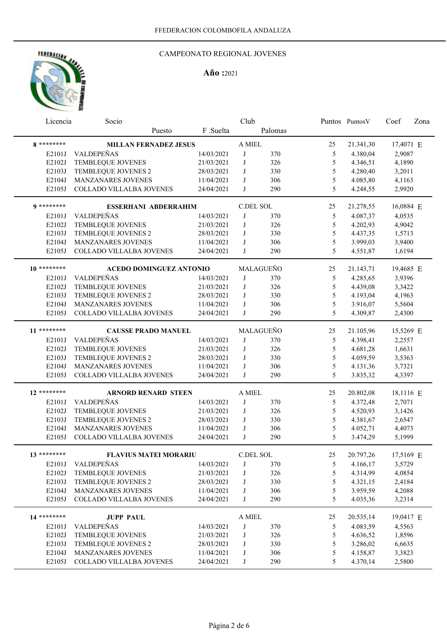# HERERACION AND

## CAMPEONATO REGIONAL JOVENES

|               | Club<br>Licencia<br>Socio      |            |                  | Puntos Puntos V | Coef          | Zona      |           |  |
|---------------|--------------------------------|------------|------------------|-----------------|---------------|-----------|-----------|--|
|               | Puesto                         | F .Suelta  |                  | Palomas         |               |           |           |  |
| 8 *********   | <b>MILLAN FERNADEZ JESUS</b>   |            | A MIEL           |                 | 25            | 21.341,30 | 17,4071 E |  |
| E2101J        | VALDEPEÑAS                     | 14/03/2021 | J                | 370             | 5             | 4.380,04  | 2,9087    |  |
| E2102J        | TEMBLEQUE JOVENES              | 21/03/2021 | J                | 326             | 5             | 4.346,51  | 4,1890    |  |
| E2103J        | TEMBLEQUE JOVENES 2            | 28/03/2021 | J                | 330             | 5             | 4.280,40  | 3,2011    |  |
| E2104J        | MANZANARES JOVENES             | 11/04/2021 | J                | 306             | 5             | 4.085,80  | 4,1163    |  |
| E2105J        | COLLADO VILLALBA JOVENES       | 24/04/2021 | J                | 290             | 5             | 4.248,55  | 2,9920    |  |
| $9*******$    | <b>ESSERHANI ABDERRAHIM</b>    |            |                  | C.DEL SOL       | 25            | 21.278,55 | 16,0884 E |  |
| E2101J        | VALDEPEÑAS                     | 14/03/2021 | J                | 370             | 5             | 4.087,37  | 4,0535    |  |
| E2102J        | TEMBLEQUE JOVENES              | 21/03/2021 | J                | 326             | 5             | 4.202,93  | 4,9042    |  |
| E2103J        | TEMBLEQUE JOVENES 2            | 28/03/2021 | J                | 330             | 5             | 4.437,35  | 1,5713    |  |
| E2104J        | MANZANARES JOVENES             | 11/04/2021 | J                | 306             | $\mathfrak s$ | 3.999,03  | 3,9400    |  |
| E2105J        | COLLADO VILLALBA JOVENES       | 24/04/2021 | J                | 290             | 5             | 4.551,87  | 1,6194    |  |
|               |                                |            |                  |                 |               |           |           |  |
| $10*******$   | <b>ACEDO DOMINGUEZ ANTONIO</b> |            |                  | MALAGUEÑO       | 25            | 21.143,71 | 19,4685 E |  |
| E2101J        | VALDEPEÑAS                     | 14/03/2021 | J                | 370             | 5             | 4.285,65  | 3,9396    |  |
| E2102J        | TEMBLEQUE JOVENES              | 21/03/2021 | J                | 326             | 5             | 4.439,08  | 3,3422    |  |
| E2103J        | TEMBLEQUE JOVENES 2            | 28/03/2021 | J                | 330             | 5             | 4.193,04  | 4,1963    |  |
| E2104J        | MANZANARES JOVENES             | 11/04/2021 | J                | 306             | 5             | 3.916,07  | 5,5604    |  |
| E2105J        | COLLADO VILLALBA JOVENES       | 24/04/2021 | J                | 290             | 5             | 4.309,87  | 2,4300    |  |
| 11 ********   | <b>CAUSSE PRADO MANUEL</b>     |            |                  | MALAGUEÑO       | 25            | 21.105,96 | 15,5269 E |  |
| E2101J        | VALDEPEÑAS                     | 14/03/2021 | J                | 370             | 5             | 4.398,41  | 2,2557    |  |
| E2102J        | TEMBLEQUE JOVENES              | 21/03/2021 | J                | 326             | 5             | 4.681,28  | 1,6631    |  |
| E2103J        | TEMBLEQUE JOVENES 2            | 28/03/2021 | J                | 330             | 5             | 4.059,59  | 3,5363    |  |
| E2104J        | MANZANARES JOVENES             | 11/04/2021 | J                | 306             | 5             | 4.131,36  | 3,7321    |  |
| E2105J        | COLLADO VILLALBA JOVENES       | 24/04/2021 | J                | 290             | 5             | 3.835,32  | 4,3397    |  |
| $12$ ******** | <b>ARNORD RENARD STEEN</b>     |            | A MIEL           |                 | 25            | 20.802,08 | 18,1116 E |  |
| E2101J        | VALDEPEÑAS                     | 14/03/2021 | J                | 370             | 5             | 4.372,48  | 2,7071    |  |
| E2102J        | TEMBLEQUE JOVENES              | 21/03/2021 | J                | 326             | 5             | 4.520,93  | 3,1426    |  |
| E2103J        | TEMBLEQUE JOVENES 2            | 28/03/2021 | J                | 330             | 5             | 4.381,67  | 2,6547    |  |
| E2104J        | <b>MANZANARES JOVENES</b>      | 11/04/2021 | J                | 306             | 5             | 4.052,71  | 4,4073    |  |
| E2105J        | COLLADO VILLALBA JOVENES       | 24/04/2021 | J                | 290             | 5             | 3.474,29  | 5,1999    |  |
| 13 ********   | <b>FLAVIUS MATEI MORARIU</b>   |            |                  | C.DEL SOL       | 25            | 20.797,26 | 17,5169 E |  |
|               | VALDEPEÑAS                     |            |                  |                 |               |           |           |  |
| E2101J        |                                | 14/03/2021 | J                | 370             | 5             | 4.166,17  | 3,5729    |  |
| E2102J        | TEMBLEQUE JOVENES              | 21/03/2021 | J                | 326             | 5             | 4.314,99  | 4,0854    |  |
| E2103J        | TEMBLEQUE JOVENES 2            | 28/03/2021 | J                | 330             | $\mathfrak s$ | 4.321,15  | 2,4184    |  |
| E2104J        | MANZANARES JOVENES             | 11/04/2021 | J                | 306             | 5             | 3.959,59  | 4,2088    |  |
| E2105J        | COLLADO VILLALBA JOVENES       | 24/04/2021 | J                | 290             | 5             | 4.035,36  | 3,2314    |  |
| 14 ********   | <b>JUPP PAUL</b>               |            | $\mathbf A$ MIEL |                 | 25            | 20.535,14 | 19,0417 E |  |
| E2101J        | VALDEPEÑAS                     | 14/03/2021 | J                | 370             | $\mathfrak s$ | 4.083,59  | 4,5563    |  |
| E2102J        | TEMBLEQUE JOVENES              | 21/03/2021 | J                | 326             | $\mathfrak s$ | 4.636,52  | 1,8596    |  |
| E2103J        | TEMBLEQUE JOVENES 2            | 28/03/2021 | J                | 330             | $\mathfrak s$ | 3.286,02  | 6,6635    |  |
| E2104J        | MANZANARES JOVENES             | 11/04/2021 | J                | 306             | $\mathfrak s$ | 4.158,87  | 3,3823    |  |
| E2105J        | COLLADO VILLALBA JOVENES       | 24/04/2021 | J                | 290             | 5             | 4.370,14  | 2,5800    |  |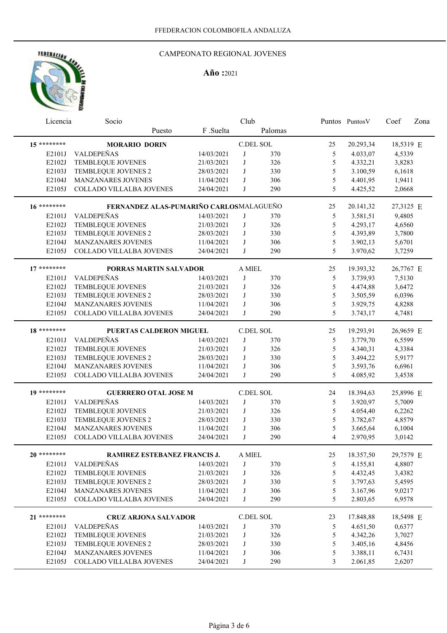# FEDERACIÓN AND

## CAMPEONATO REGIONAL JOVENES

|             | Club<br>Licencia<br>Socio               |            |        | Puntos PuntosV | Coef           | Zona      |           |  |
|-------------|-----------------------------------------|------------|--------|----------------|----------------|-----------|-----------|--|
|             | Puesto                                  | F .Suelta  |        | Palomas        |                |           |           |  |
| 15 ******** | <b>MORARIO DORIN</b>                    |            |        | C.DEL SOL      | 25             | 20.293,34 | 18,5319 E |  |
| E2101J      | VALDEPEÑAS                              | 14/03/2021 | J      | 370            | 5              | 4.033,07  | 4,5339    |  |
| E2102J      | TEMBLEQUE JOVENES                       | 21/03/2021 | J      | 326            | 5              | 4.332,21  | 3,8283    |  |
| E2103J      | TEMBLEQUE JOVENES 2                     | 28/03/2021 | J      | 330            | 5              | 3.100,59  | 6,1618    |  |
| E2104J      | MANZANARES JOVENES                      | 11/04/2021 | J      | 306            | 5              | 4.401,95  | 1,9411    |  |
| E2105J      | COLLADO VILLALBA JOVENES                | 24/04/2021 | J      | 290            | 5              | 4.425,52  | 2,0668    |  |
| 16 ******** | FERNANDEZ ALAS-PUMARIÑO CARLOSMALAGUEÑO |            |        |                | 25             | 20.141,32 | 27,3125 E |  |
| E2101J      | VALDEPEÑAS                              | 14/03/2021 | J      | 370            | 5              | 3.581,51  | 9,4805    |  |
| E2102J      | TEMBLEQUE JOVENES                       | 21/03/2021 | J      | 326            | 5              | 4.293,17  | 4,6560    |  |
| E2103J      | TEMBLEQUE JOVENES 2                     | 28/03/2021 | J      | 330            | 5              | 4.393,89  | 3,7800    |  |
| E2104J      | MANZANARES JOVENES                      | 11/04/2021 | J      | 306            | 5              | 3.902,13  | 5,6701    |  |
| E2105J      | COLLADO VILLALBA JOVENES                | 24/04/2021 | J      | 290            | 5              | 3.970,62  | 3,7259    |  |
| $17*******$ | PORRAS MARTIN SALVADOR                  |            | A MIEL |                | 25             | 19.393,32 | 26,7767 E |  |
| E2101J      | VALDEPEÑAS                              | 14/03/2021 | J      | 370            | 5              | 3.739,93  | 7,5130    |  |
| E2102J      | TEMBLEQUE JOVENES                       | 21/03/2021 | J      | 326            | 5              | 4.474,88  | 3,6472    |  |
| E2103J      | TEMBLEQUE JOVENES 2                     | 28/03/2021 | J      | 330            | 5              | 3.505,59  | 6,0396    |  |
| E2104J      | <b>MANZANARES JOVENES</b>               | 11/04/2021 | J      | 306            | 5              | 3.929,75  | 4,8288    |  |
| E2105J      | COLLADO VILLALBA JOVENES                | 24/04/2021 | J      | 290            | 5              | 3.743,17  | 4,7481    |  |
| 18 ******** | PUERTAS CALDERON MIGUEL                 |            |        | C.DEL SOL      | 25             | 19.293,91 | 26,9659 E |  |
| E2101J      | VALDEPEÑAS                              | 14/03/2021 | J      | 370            | 5              | 3.779,70  | 6,5599    |  |
| E2102J      | TEMBLEQUE JOVENES                       | 21/03/2021 | J      | 326            | 5              | 4.340,31  | 4,3384    |  |
| E2103J      | TEMBLEQUE JOVENES 2                     | 28/03/2021 | J      | 330            | 5              | 3.494,22  | 5,9177    |  |
| E2104J      | MANZANARES JOVENES                      | 11/04/2021 | J      | 306            | 5              | 3.593,76  | 6,6961    |  |
| E2105J      | COLLADO VILLALBA JOVENES                | 24/04/2021 | J      | 290            | 5              | 4.085,92  | 3,4538    |  |
|             |                                         |            |        |                |                |           |           |  |
| 19 ******** | <b>GUERRERO OTAL JOSE M</b>             |            |        | C.DEL SOL      | 24             | 18.394,63 | 25,8996 E |  |
| E2101J      | VALDEPEÑAS                              | 14/03/2021 | J      | 370            | 5              | 3.920,97  | 5,7009    |  |
| E2102J      | TEMBLEQUE JOVENES                       | 21/03/2021 | J      | 326            | 5              | 4.054,40  | 6,2262    |  |
| E2103J      | TEMBLEQUE JOVENES 2                     | 28/03/2021 | J      | 330            | 5              | 3.782,67  | 4,8579    |  |
| E2104J      | MANZANARES JOVENES                      | 11/04/2021 | J      | 306            | 5              | 3.665,64  | 6,1004    |  |
| E2105J      | COLLADO VILLALBA JOVENES                | 24/04/2021 | J      | 290            | $\overline{4}$ | 2.970,95  | 3,0142    |  |
| 20 ******** | RAMIREZ ESTEBANEZ FRANCIS J.            |            | A MIEL |                | 25             | 18.357,50 | 29,7579 E |  |
| E2101J      | VALDEPEÑAS                              | 14/03/2021 | J      | 370            | 5              | 4.155,81  | 4,8807    |  |
| E2102J      | TEMBLEQUE JOVENES                       | 21/03/2021 | J      | 326            | $\mathfrak s$  | 4.432,45  | 3,4382    |  |
| E2103J      | TEMBLEQUE JOVENES 2                     | 28/03/2021 | J      | 330            | 5              | 3.797,63  | 5,4595    |  |
| E2104J      | MANZANARES JOVENES                      | 11/04/2021 | J      | 306            | $\mathfrak s$  | 3.167,96  | 9,0217    |  |
| E2105J      | COLLADO VILLALBA JOVENES                | 24/04/2021 | J      | 290            | 5              | 2.803,65  | 6,9578    |  |
| 21 ******** | <b>CRUZ ARJONA SALVADOR</b>             |            |        | C.DEL SOL      | 23             | 17.848,88 | 18,5498 E |  |
| E2101J      | VALDEPEÑAS                              | 14/03/2021 | J      | 370            | 5              | 4.651,50  | 0,6377    |  |
| E2102J      | TEMBLEQUE JOVENES                       | 21/03/2021 | J      | 326            | 5              | 4.342,26  | 3,7027    |  |
| E2103J      | TEMBLEQUE JOVENES 2                     | 28/03/2021 | J      | 330            | 5              | 3.405,16  | 4,8456    |  |
| E2104J      | MANZANARES JOVENES                      | 11/04/2021 | J      | 306            | 5              | 3.388,11  | 6,7431    |  |
| E2105J      | COLLADO VILLALBA JOVENES                | 24/04/2021 | J      | 290            | 3              | 2.061,85  | 2,6207    |  |
|             |                                         |            |        |                |                |           |           |  |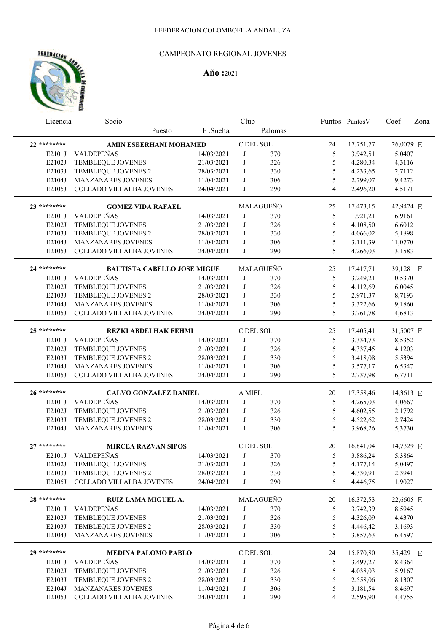

# CAMPEONATO REGIONAL JOVENES

| Licencia         | Socio                                           |                          | Club      |            |                    | Puntos PuntosV       | Coef             | Zona |
|------------------|-------------------------------------------------|--------------------------|-----------|------------|--------------------|----------------------|------------------|------|
|                  | Puesto                                          | F .Suelta                |           | Palomas    |                    |                      |                  |      |
| 22 ********      | AMIN ESEERHANI MOHAMED                          |                          | C.DEL SOL |            | 24                 | 17.751,77            | 26,0079 E        |      |
| E2101J           | VALDEPEÑAS                                      | 14/03/2021               | J         | 370        | 5                  | 3.942,51             | 5,0407           |      |
| E2102J           | TEMBLEQUE JOVENES                               | 21/03/2021               | J         | 326        | 5                  | 4.280,34             | 4,3116           |      |
| E2103J           | TEMBLEQUE JOVENES 2                             | 28/03/2021               | J         | 330        | 5                  | 4.233,65             | 2,7112           |      |
| E2104J           | MANZANARES JOVENES                              | 11/04/2021               | J         | 306        | 5                  | 2.799,07             | 9,4273           |      |
| E2105J           | COLLADO VILLALBA JOVENES                        | 24/04/2021               | J         | 290        | $\overline{4}$     | 2.496,20             | 4,5171           |      |
|                  |                                                 |                          |           |            |                    |                      |                  |      |
| 23 ********      | <b>GOMEZ VIDA RAFAEL</b>                        |                          |           | MALAGUEÑO  | 25                 | 17.473,15            | 42,9424 E        |      |
| E2101J           | VALDEPEÑAS                                      | 14/03/2021               | J         | 370        | 5                  | 1.921,21             | 16,9161          |      |
| E2102J           | TEMBLEQUE JOVENES                               | 21/03/2021               | J         | 326        | 5                  | 4.108,50             | 6,6012           |      |
| E2103J           | TEMBLEQUE JOVENES 2                             | 28/03/2021               | J         | 330        | 5                  | 4.066,02             | 5,1898           |      |
| E2104J           | MANZANARES JOVENES                              | 11/04/2021               | J         | 306        | 5                  | 3.111,39             | 11,0770          |      |
| E2105J           | COLLADO VILLALBA JOVENES                        | 24/04/2021               | J         | 290        | 5                  | 4.266,03             | 3,1583           |      |
| 24 ********      | <b>BAUTISTA CABELLO JOSE MIGUE</b>              |                          |           | MALAGUEÑO  | 25                 | 17.417,71            | 39,1281 E        |      |
| E2101J           | VALDEPEÑAS                                      | 14/03/2021               | J         | 370        | 5                  | 3.249,21             | 10,5370          |      |
| E2102J           | TEMBLEQUE JOVENES                               | 21/03/2021               | J         | 326        | 5                  | 4.112,69             | 6,0045           |      |
| E2103J           | TEMBLEQUE JOVENES 2                             | 28/03/2021               | J         | 330        | 5                  | 2.971,37             | 8,7193           |      |
| E2104J           | MANZANARES JOVENES                              | 11/04/2021               | J         | 306        | 5                  | 3.322,66             | 9,1860           |      |
| E2105J           | COLLADO VILLALBA JOVENES                        | 24/04/2021               | J         | 290        | 5                  | 3.761,78             | 4,6813           |      |
|                  |                                                 |                          |           |            |                    |                      |                  |      |
| 25 ********      | <b>REZKI ABDELHAK FEHMI</b>                     |                          | C.DEL SOL |            | 25                 | 17.405,41            | 31,5007 E        |      |
| E2101J           | VALDEPEÑAS                                      | 14/03/2021               | J         | 370        | 5                  | 3.334,73             | 8,5352           |      |
| E2102J           | TEMBLEQUE JOVENES                               | 21/03/2021               | J         | 326        | 5                  | 4.337,45             | 4,1203           |      |
| E2103J           | TEMBLEQUE JOVENES 2                             | 28/03/2021               | J         | 330        | 5                  | 3.418,08             | 5,5394           |      |
| E2104J           | MANZANARES JOVENES                              | 11/04/2021               | J         | 306        | 5                  | 3.577,17             | 6,5347           |      |
| E2105J           | COLLADO VILLALBA JOVENES                        | 24/04/2021               | J         | 290        | 5                  | 2.737,98             | 6,7711           |      |
| 26 ********      | <b>CALVO GONZALEZ DANIEL</b>                    |                          | A MIEL    |            | 20                 | 17.358,46            | 14,3613 E        |      |
| E2101J           | VALDEPEÑAS                                      | 14/03/2021               | J         | 370        | 5                  | 4.265,03             | 4,0667           |      |
| E2102J           | TEMBLEQUE JOVENES                               | 21/03/2021               | J         | 326        | 5                  | 4.602,55             | 2,1792           |      |
| E2103J           | TEMBLEQUE JOVENES 2                             | 28/03/2021               | J         | 330        | 5                  | 4.522,62             | 2,7424           |      |
| E2104J           | <b>MANZANARES JOVENES</b>                       | 11/04/2021               | J         | 306        | 5                  | 3.968,26             | 5,3730           |      |
| $27******$       |                                                 |                          | C.DEL SOL |            | 20                 |                      |                  |      |
|                  | <b>MIRCEA RAZVAN SIPOS</b><br>VALDEPEÑAS        |                          |           |            |                    | 16.841,04            | 14,7329 E        |      |
| E2101J           |                                                 | 14/03/2021               | $\bf J$   | 370        | 5 <sup>5</sup>     | 3.886,24             | 5,3864           |      |
| E2102J           | TEMBLEQUE JOVENES                               | 21/03/2021               | J         | 326        | $\mathfrak s$      | 4.177,14             | 5,0497           |      |
| E2103J<br>E2105J | TEMBLEQUE JOVENES 2<br>COLLADO VILLALBA JOVENES | 28/03/2021<br>24/04/2021 | J<br>J    | 330<br>290 | $\mathfrak s$<br>5 | 4.330,91<br>4.446,75 | 2,3941<br>1,9027 |      |
|                  |                                                 |                          |           |            |                    |                      |                  |      |
| 28 ********      | RUIZ LAMA MIGUEL A.                             |                          |           | MALAGUEÑO  | 20                 | 16.372,53            | 22,6605 E        |      |
| E2101J           | VALDEPEÑAS                                      | 14/03/2021               | J         | 370        | 5                  | 3.742,39             | 8,5945           |      |
| E2102J           | TEMBLEQUE JOVENES                               | 21/03/2021               | J         | 326        | $\mathfrak s$      | 4.326,09             | 4,4370           |      |
| E2103J           | TEMBLEQUE JOVENES 2                             | 28/03/2021               | J         | 330        | $\mathfrak s$      | 4.446,42             | 3,1693           |      |
| E2104J           | MANZANARES JOVENES                              | 11/04/2021               | J         | 306        | 5                  | 3.857,63             | 6,4597           |      |
| 29 ********      | <b>MEDINA PALOMO PABLO</b>                      |                          | C.DEL SOL |            | 24                 | 15.870,80            | 35,429 E         |      |
| E2101J           | VALDEPEÑAS                                      | 14/03/2021               | J         | 370        | 5                  | 3.497,27             | 8,4364           |      |
| E2102J           | TEMBLEQUE JOVENES                               | 21/03/2021               | J         | 326        | 5                  | 4.038,03             | 5,9167           |      |
| E2103J           | TEMBLEQUE JOVENES 2                             | 28/03/2021               | J         | 330        | 5                  | 2.558,06             | 8,1307           |      |
| E2104J           | MANZANARES JOVENES                              | 11/04/2021               | J         | 306        | 5                  | 3.181,54             | 8,4697           |      |
| E2105J           | COLLADO VILLALBA JOVENES                        | 24/04/2021               | J         | 290        | 4                  | 2.595,90             | 4,4755           |      |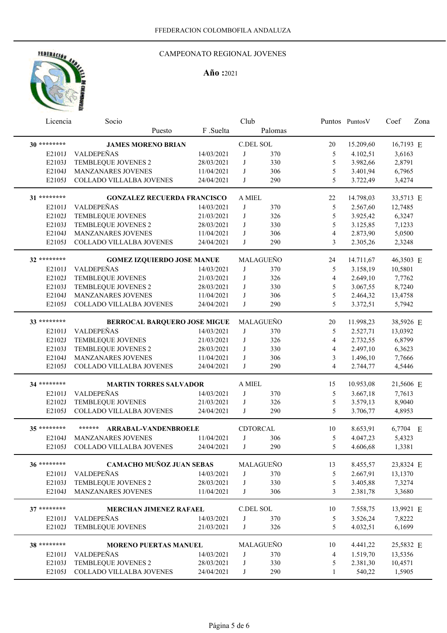

# CAMPEONATO REGIONAL JOVENES

|              | Club<br>Licencia<br>Socio          |            |                  |                 | Puntos Puntos V | Coef      | Zona      |  |
|--------------|------------------------------------|------------|------------------|-----------------|-----------------|-----------|-----------|--|
|              | Puesto                             | F.Suelta   |                  | Palomas         |                 |           |           |  |
| 30 ********* | <b>JAMES MORENO BRIAN</b>          |            | <b>C.DEL SOL</b> |                 | 20              | 15.209,60 | 16,7193 E |  |
| E2101J       | VALDEPEÑAS                         | 14/03/2021 | J                | 370             | 5               | 4.102,51  | 3,6163    |  |
| E2103J       | TEMBLEQUE JOVENES 2                | 28/03/2021 | J                | 330             | 5               | 3.982,66  | 2,8791    |  |
| E2104J       | MANZANARES JOVENES                 | 11/04/2021 | J                | 306             | 5               | 3.401,94  | 6,7965    |  |
| E2105J       | COLLADO VILLALBA JOVENES           | 24/04/2021 | J                | 290             | 5               | 3.722,49  | 3,4274    |  |
|              |                                    |            |                  |                 |                 |           |           |  |
| 31 ********  | <b>GONZALEZ RECUERDA FRANCISCO</b> |            | A MIEL           |                 | 22              | 14.798,03 | 33,5713 E |  |
| E2101J       | VALDEPEÑAS                         | 14/03/2021 | J                | 370             | $\mathfrak s$   | 2.567,60  | 12,7485   |  |
| E2102J       | TEMBLEQUE JOVENES                  | 21/03/2021 | J                | 326             | $\sqrt{5}$      | 3.925,42  | 6,3247    |  |
| E2103J       | TEMBLEQUE JOVENES 2                | 28/03/2021 | J                | 330             | 5               | 3.125,85  | 7,1233    |  |
| E2104J       | MANZANARES JOVENES                 | 11/04/2021 | J                | 306             | $\overline{4}$  | 2.873,90  | 5,0500    |  |
| E2105J       | COLLADO VILLALBA JOVENES           | 24/04/2021 | J                | 290             | 3               | 2.305,26  | 2,3248    |  |
| 32 ********  | <b>GOMEZ IZQUIERDO JOSE MANUE</b>  |            |                  | MALAGUEÑO       | 24              | 14.711,67 | 46,3503 E |  |
| E2101J       | VALDEPEÑAS                         | 14/03/2021 | J                | 370             | 5               | 3.158,19  | 10,5801   |  |
| E2102J       | TEMBLEQUE JOVENES                  | 21/03/2021 | J                | 326             | $\overline{4}$  | 2.649,10  | 7,7762    |  |
| E2103J       | TEMBLEQUE JOVENES 2                | 28/03/2021 | J                | 330             | 5               | 3.067,55  | 8,7240    |  |
| E2104J       | <b>MANZANARES JOVENES</b>          | 11/04/2021 | J                | 306             | 5               | 2.464,32  | 13,4758   |  |
| E2105J       | COLLADO VILLALBA JOVENES           | 24/04/2021 | J                | 290             | 5               | 3.372,51  | 5,7942    |  |
|              |                                    |            |                  |                 |                 |           |           |  |
| 33 ********  | BERROCAL BARQUERO JOSE MIGUE       |            |                  | MALAGUEÑO       | 20              | 11.998,23 | 38,5926 E |  |
| E2101J       | VALDEPEÑAS                         | 14/03/2021 | J                | 370             | 5               | 2.527,71  | 13,0392   |  |
| E2102J       | TEMBLEQUE JOVENES                  | 21/03/2021 | J                | 326             | $\overline{4}$  | 2.732,55  | 6,8799    |  |
| E2103J       | TEMBLEQUE JOVENES 2                | 28/03/2021 | J                | 330             | $\overline{4}$  | 2.497,10  | 6,3623    |  |
| E2104J       | MANZANARES JOVENES                 | 11/04/2021 | J                | 306             | 3               | 1.496,10  | 7,7666    |  |
| E2105J       | COLLADO VILLALBA JOVENES           | 24/04/2021 | $\mathbf{J}$     | 290             | $\overline{4}$  | 2.744,77  | 4,5446    |  |
| 34 ********  | <b>MARTIN TORRES SALVADOR</b>      |            | A MIEL           |                 | 15              | 10.953,08 | 21,5606 E |  |
|              | VALDEPEÑAS                         |            |                  |                 |                 |           |           |  |
| E2101J       |                                    | 14/03/2021 | J                | 370             | 5               | 3.667,18  | 7,7613    |  |
| E2102J       | TEMBLEQUE JOVENES                  | 21/03/2021 | J                | 326             | $\mathfrak s$   | 3.579,13  | 8,9040    |  |
| E2105J       | COLLADO VILLALBA JOVENES           | 24/04/2021 | J                | 290             | 5               | 3.706,77  | 4,8953    |  |
| 35 ********  | ******<br>ARRABAL-VANDENBROELE     |            |                  | <b>CDTORCAL</b> | 10              | 8.653,91  | 6,7704 E  |  |
| E2104J       | MANZANARES JOVENES                 | 11/04/2021 | J                | 306             | 5               | 4.047,23  | 5,4323    |  |
| E2105J       | COLLADO VILLALBA JOVENES           | 24/04/2021 | J                | 290             | 5               | 4.606,68  | 1,3381    |  |
| 36 ********  | <b>CAMACHO MUÑOZ JUAN SEBAS</b>    |            |                  | MALAGUEÑO       |                 |           |           |  |
|              |                                    |            |                  |                 | 13              | 8.455,57  | 23,8324 E |  |
| E2101J       | VALDEPEÑAS                         | 14/03/2021 | J                | 370             | 5               | 2.667,91  | 13,1370   |  |
| E2103J       | TEMBLEQUE JOVENES 2                | 28/03/2021 | J                | 330             | $\mathfrak s$   | 3.405,88  | 7,3274    |  |
| E2104J       | MANZANARES JOVENES                 | 11/04/2021 | J                | 306             | 3               | 2.381,78  | 3,3680    |  |
| 37 ********  | MERCHAN JIMENEZ RAFAEL             |            | C.DEL SOL        |                 | 10              | 7.558,75  | 13,9921 E |  |
| E2101J       | VALDEPEÑAS                         | 14/03/2021 | J                | 370             | $\sqrt{5}$      | 3.526,24  | 7,8222    |  |
| E2102J       | <b>TEMBLEQUE JOVENES</b>           | 21/03/2021 | J                | 326             | 5               | 4.032,51  | 6,1699    |  |
| 38 ********  |                                    |            |                  |                 |                 |           |           |  |
|              | <b>MORENO PUERTAS MANUEL</b>       |            |                  | MALAGUEÑO       | 10              | 4.441,22  | 25,5832 E |  |
| E2101J       | VALDEPEÑAS                         | 14/03/2021 | J                | 370             | 4               | 1.519,70  | 13,5356   |  |
| E2103J       | TEMBLEQUE JOVENES 2                | 28/03/2021 | J                | 330             | 5               | 2.381,30  | 10,4571   |  |
| E2105J       | COLLADO VILLALBA JOVENES           | 24/04/2021 | J                | 290             | $\mathbf{1}$    | 540,22    | 1,5905    |  |